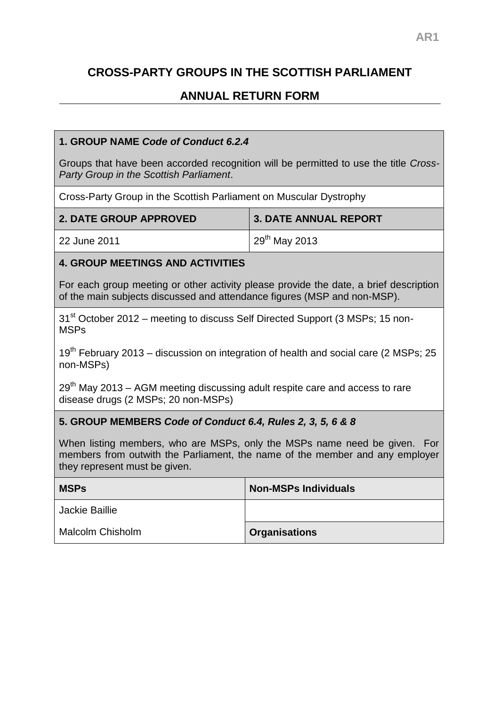# **CROSS-PARTY GROUPS IN THE SCOTTISH PARLIAMENT**

## **ANNUAL RETURN FORM**

## **1. GROUP NAME** *Code of Conduct 6.2.4*

Groups that have been accorded recognition will be permitted to use the title *Cross-Party Group in the Scottish Parliament*.

Cross-Party Group in the Scottish Parliament on Muscular Dystrophy

| <b>2. DATE GROUP APPROVED</b> | 3. DATE ANNUAL REPORT                   |
|-------------------------------|-----------------------------------------|
| 22 June 2011                  | $\frac{1}{2}$ 29 <sup>th</sup> May 2013 |

## **4. GROUP MEETINGS AND ACTIVITIES**

For each group meeting or other activity please provide the date, a brief description of the main subjects discussed and attendance figures (MSP and non-MSP).

31<sup>st</sup> October 2012 – meeting to discuss Self Directed Support (3 MSPs; 15 non-MSPs

 $19<sup>th</sup>$  February 2013 – discussion on integration of health and social care (2 MSPs; 25 non-MSPs)

 $29<sup>th</sup>$  May 2013 – AGM meeting discussing adult respite care and access to rare disease drugs (2 MSPs; 20 non-MSPs)

## **5. GROUP MEMBERS** *Code of Conduct 6.4, Rules 2, 3, 5, 6 & 8*

When listing members, who are MSPs, only the MSPs name need be given. For members from outwith the Parliament, the name of the member and any employer they represent must be given.

| <b>MSPs</b>             | <b>Non-MSPs Individuals</b> |
|-------------------------|-----------------------------|
| Jackie Baillie          |                             |
| <b>Malcolm Chisholm</b> | <b>Organisations</b>        |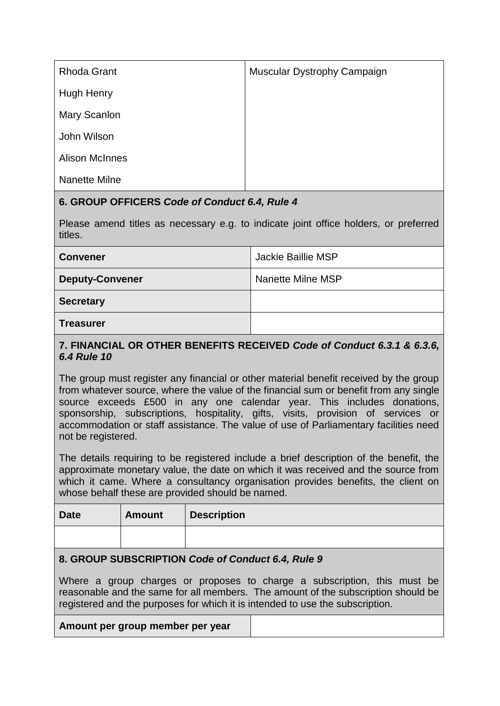| <b>Rhoda Grant</b>    | Muscular Dystrophy Campaign |
|-----------------------|-----------------------------|
| <b>Hugh Henry</b>     |                             |
| <b>Mary Scanlon</b>   |                             |
| John Wilson           |                             |
| <b>Alison McInnes</b> |                             |
| Nanette Milne         |                             |

## **6. GROUP OFFICERS** *Code of Conduct 6.4, Rule 4*

Please amend titles as necessary e.g. to indicate joint office holders, or preferred titles.

| <b>Convener</b>        | Jackie Baillie MSP |
|------------------------|--------------------|
| <b>Deputy-Convener</b> | Nanette Milne MSP  |
| <b>Secretary</b>       |                    |
| <b>Treasurer</b>       |                    |

## **7. FINANCIAL OR OTHER BENEFITS RECEIVED** *Code of Conduct 6.3.1 & 6.3.6, 6.4 Rule 10*

The group must register any financial or other material benefit received by the group from whatever source, where the value of the financial sum or benefit from any single source exceeds £500 in any one calendar year. This includes donations, sponsorship, subscriptions, hospitality, gifts, visits, provision of services or accommodation or staff assistance. The value of use of Parliamentary facilities need not be registered.

The details requiring to be registered include a brief description of the benefit, the approximate monetary value, the date on which it was received and the source from which it came. Where a consultancy organisation provides benefits, the client on whose behalf these are provided should be named.

| <b>Date</b> | <b>Amount</b> | <b>Description</b> |
|-------------|---------------|--------------------|
|             |               |                    |

## **8. GROUP SUBSCRIPTION** *Code of Conduct 6.4, Rule 9*

Where a group charges or proposes to charge a subscription, this must be reasonable and the same for all members. The amount of the subscription should be registered and the purposes for which it is intended to use the subscription.

| Amount per group member per year |
|----------------------------------|
|----------------------------------|